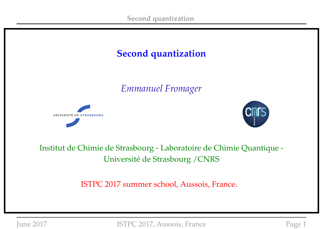

*Emmanuel Fromager*





### Institut de Chimie de Strasbourg - Laboratoire de Chimie Quantique - Université de Strasbourg /CNRS

ISTPC 2017 summer school, Aussois, France.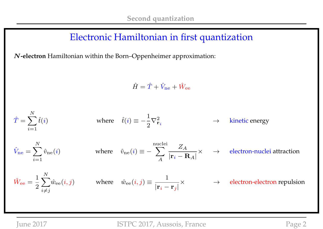### Electronic Hamiltonian in first quantization

N**-electron** Hamiltonian within the Born–Oppenheimer approximation:

 $\hat{H} = \hat{T} + \hat{V}_{\text{ne}} + \hat{W}_{\text{ee}}$ 

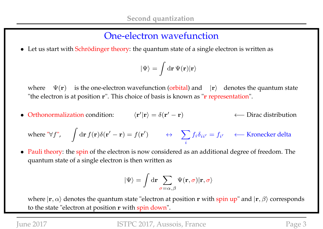### One-electron wavefunction

• Let us start with Schrödinger theory: the quantum state of a single electron is written as

$$
|\Psi\rangle=\int{\rm d}{\bf r}\,\Psi({\bf r})|{\bf r}\rangle
$$

where  $\Psi(\mathbf{r})$  is the one-electron wavefunction (orbital) and  $|\mathbf{r}\rangle$  denotes the quantum state "the electron is at position r". This choice of basis is known as "r representation".

• Orthonormalization condition:  $\langle \mathbf{r}' | \mathbf{r} \rangle = \delta(\mathbf{r}'')$ ← Dirac distribution

where "
$$
\forall f
$$
",  $\int d\mathbf{r} f(\mathbf{r}) \delta(\mathbf{r}' - \mathbf{r}) = f(\mathbf{r}')$   $\leftrightarrow$   $\sum_{i} f_i \delta_{ii'} = f_{i'}$   $\leftarrow$  Kronecker delta

• Pauli theory: the spin of the electron is now considered as an additional degree of freedom. The quantum state of a single electron is then written as

$$
|\Psi\rangle = \int \mathrm{d}\mathbf{r} \sum_{\sigma=\alpha,\beta} \Psi(\mathbf{r},\sigma) |\mathbf{r},\sigma\rangle
$$

where  $|\mathbf{r}, \alpha\rangle$  denotes the quantum state "electron at position r with spin up" and  $|\mathbf{r}, \beta\rangle$  corresponds to the state "electron at position r with spin down".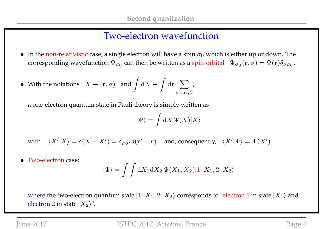### Two-electron wavefunction

- In the non-relativistic case, a single electron will have a spin  $\sigma_0$  which is either up or down. The corresponding wavefunction  $\Psi_{\sigma_0}$  can then be written as a spin-orbital  $\;\;\Psi_{\sigma_0}({\bf r},\sigma)=\Psi({\bf r})\delta_{\sigma\sigma_0}.$
- With the notations  $X \equiv (\mathbf{r}, \sigma)$  and  $\int dX \equiv$ Z  $\mathrm{d}\mathbf{r}$   $\sum$  $\sigma{=}\alpha,\beta$ ,

a one-electron quantum state in Pauli theory is simply written as

$$
|\Psi\rangle = \int \mathrm{d} X \, \Psi(X) |X\rangle
$$

with  $\langle X'|X\rangle = \delta(X - X') = \delta_{\sigma\sigma'}\delta(\mathbf{r}' - \mathbf{r})$  and, consequently,  $\langle X'|\Psi\rangle = \Psi(X')$ .

• Two-electron case:

$$
|\Psi\rangle = \int \int dX_1 dX_2 \, \Psi(X_1, X_2)|1: X_1, 2: X_2\rangle
$$

where the two-electron quantum state  $|1: X_1, 2: X_2\rangle$  corresponds to "electron 1 in state  $|X_1\rangle$  and electron 2 in state  $|X_2\rangle$ ".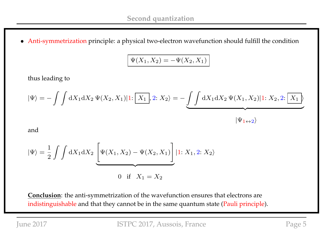• Anti-symmetrization principle: a physical two-electron wavefunction should fulfill the condition

$$
\Psi(X_1, X_2) = -\Psi(X_2, X_1)
$$

thus leading to

$$
|\Psi\rangle = -\int \int dX_1 dX_2 \, \Psi(X_2, X_1)|1: \boxed{X_1}, 2: X_2\rangle = -\underbrace{\int \int dX_1 dX_2 \, \Psi(X_1, X_2)|1: X_2, 2: \boxed{X_1}}_{|\Psi_1 \leftrightarrow 2\rangle}
$$

and

$$
|\Psi\rangle = \frac{1}{2} \int \int dX_1 dX_2 \underbrace{\left[ \Psi(X_1, X_2) - \Psi(X_2, X_1) \right]}_{\text{0 if } X_1 = X_2} |1: X_1, 2: X_2\rangle
$$

**Conclusion**: the anti-symmetrization of the wavefunction ensures that electrons are indistinguishable and that they cannot be in the same quantum state (Pauli principle).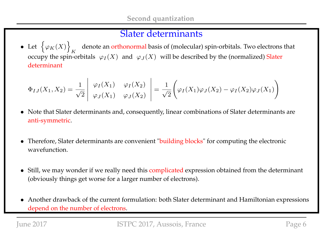### Slater determinants

• Let  $\{\varphi_K(X)\}\$ K denote an orthonormal basis of (molecular) spin-orbitals. Two electrons that occupy the spin-orbitals  $\;\varphi_I(X)\;$  and  $\;\varphi_J(X)\;$  will be described by the (normalized) Slater determinant

$$
\Phi_{IJ}(X_1, X_2) = \frac{1}{\sqrt{2}} \begin{vmatrix} \varphi_I(X_1) & \varphi_I(X_2) \\ \varphi_J(X_1) & \varphi_J(X_2) \end{vmatrix} = \frac{1}{\sqrt{2}} \left( \varphi_I(X_1) \varphi_J(X_2) - \varphi_I(X_2) \varphi_J(X_1) \right)
$$

- Note that Slater determinants and, consequently, linear combinations of Slater determinants are anti-symmetric.
- Therefore, Slater determinants are convenient "building blocks" for computing the electronic wavefunction.
- Still, we may wonder if we really need this complicated expression obtained from the determinant (obviously things get worse for a larger number of electrons).
- Another drawback of the current formulation: both Slater determinant and Hamiltonian expressions depend on the number of electrons.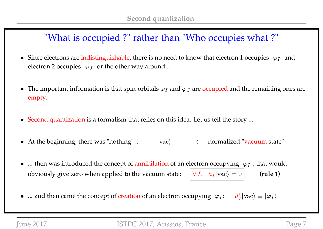# "What is occupied ?" rather than "Who occupies what ?"

- Since electrons are indistinguishable, there is no need to know that electron 1 occupies  $\varphi_I$  and electron 2 occupies  $\ \varphi_J\;$  or the other way around ...
- The important information is that spin-orbitals  $\varphi_I$  and  $\varphi_J$  are occupied and the remaining ones are empty.
- Second quantization is a formalism that relies on this idea. Let us tell the story ...
- At the beginning, there was "nothing" ... |vac> ← normalized "vacuum state"
- ... then was introduced the concept of annihilation of an electron occupying  $\varphi_I$ , that would obviously give zero when applied to the vacuum state:  $\forall I, \hat{a}_I | \text{vac} \rangle = 0$  (rule 1)
- ... and then came the concept of creation of an electron occupying  $\varphi_I$ : †  $\frac{1}{I}$ |vac $\rangle \equiv |\varphi_I\rangle$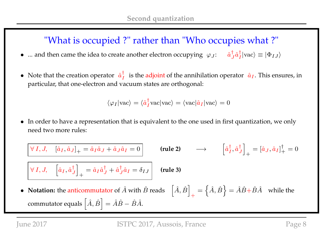# "What is occupied ?" rather than "Who occupies what ?"

- ... and then came the idea to create another electron occupying  $\varphi_J$ :  $\hat{a}_J^{\dagger}$  $_{J}^{\dagger }\hat{a}_{I}^{\dagger }$  $\vert_I\vert \text{vac} \rangle \equiv \vert \Phi_{IJ} \rangle$
- Note that the creation operator  $\hat{a}^{\dagger}_{I}$  $\frac{1}{I}$  is the adjoint of the annihilation operator  $\hat{a}_I$ . This ensures, in particular, that one-electron and vacuum states are orthogonal:

$$
\langle \varphi_I | \text{vac} \rangle = \langle \hat{a}_I^{\dagger} \text{vac} | \text{vac} \rangle = \langle \text{vac} | \hat{a}_I | \text{vac} \rangle = 0
$$

• In order to have a representation that is equivalent to the one used in first quantization, we only need two more rules:

 $\forall\,I,J,\quad \left[\hat{a}_I,\hat{a}_J\right]_+=\hat{a}_I\hat{a}_J+\hat{a}_J$  $\hat{a}_I=0$  (rule 2)  $\longrightarrow$   $\begin{bmatrix} \hat{a}^{\dag}_I \end{bmatrix}$  $_{I}^{\dagger},\hat{a}_{J}^{\dagger}$ J  $\overline{\phantom{a}}$  $+$  $=[\hat{a}_{J},\hat{a}_{I}]^{\dagger}_{+}$  $_{+}^{1}=0$  $\forall\,I,J,\quad \left[\hat{a}_I,\hat{a}^\dagger_J\right.$ J  $\overline{\phantom{a}}$  $+$  $=\hat{a}_I \hat{a}^\dagger_J$  $^{\dagger}_{J}+\hat{a}^{\dagger}_{J}$  $J_{J}^{\dagger} \hat{a}_{I} = \delta_{IJ}$  (rule 3) • **Notation:** the anticommutator of  $\hat{A}$  with  $\hat{B}$  reads  $\left[ \hat{A}, \hat{B} \right]$  $+$  $=\left\{\hat{A},\hat{B}\right\}=\hat{A}\hat{B}+\hat{B}\hat{A}\quad$  while the commutator equals  $\left[\hat{A},\hat{B}\right]=\hat{A}\hat{B}-\hat{B}\hat{A}$ .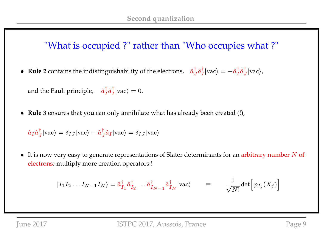## "What is occupied ?" rather than "Who occupies what ?"

• **Rule 2** contains the indistinguishability of the electrons,  $\hat{a}^{\dagger}_{,j}$  $_{J}^{\dagger }\hat{a}_{I}^{\dagger }$  $\frac{\dagger}{I}|\text{vac}\rangle = -\hat{a}^{\dagger}_{I}$  $_{I}^{\dagger}\hat{a}_{J}^{\dagger}$  $\frac{1}{J}$  | vac $\rangle$ ,

and the Pauli principle,  $\hat{a}^{\dagger}_{I}$  $_{I}^{\dagger}\hat{a}_{I}^{\dagger}$  $\frac{1}{I}$ |vac $\rangle = 0$ .

• **Rule 3** ensures that you can only annihilate what has already been created (!),

$$
\hat{a}_I \hat{a}_J^{\dagger} |\text{vac}\rangle = \delta_{IJ} |\text{vac}\rangle - \hat{a}_J^{\dagger} \hat{a}_I |\text{vac}\rangle = \delta_{IJ} |\text{vac}\rangle
$$

 $\bullet$  It is now very easy to generate representations of Slater determinants for an arbitrary number N of electrons: multiply more creation operators !

$$
|I_1 I_2 ... I_{N-1} I_N\rangle = \hat{a}_{I_1}^{\dagger} \hat{a}_{I_2}^{\dagger} ... \hat{a}_{I_{N-1}}^{\dagger} \hat{a}_{I_N}^{\dagger} |vac\rangle \qquad \equiv \qquad \frac{1}{\sqrt{N!}} det \Big[ \varphi_{I_i}(X_j) \Big]
$$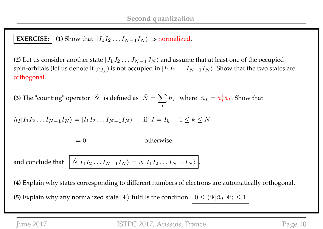#### **EXERCISE:**  $\vert$  (1) Show that  $\vert I_1 I_2 ... I_{N-1} I_N \rangle$  is normalized.

**(2)** Let us consider another state  $|J_1J_2 \ldots J_{N-1}J_N\rangle$  and assume that at least one of the occupied spin-orbitals (let us denote it  $\varphi_{J_k}$ ) is not occupied in  $|I_1I_2\ldots I_{N-1}I_N\rangle.$  Show that the two states are orthogonal.

**(3)** The "counting" operator  $\hat{N}$  is defined as  $\hat{N} = \sum \hat{n}_I$  where  $\hat{n}_I = \hat{a}_I^{\dagger}$ I  $\frac{1}{I}\hat{a}_I$ . Show that

$$
\hat{n}_I | I_1 I_2 \dots I_{N-1} I_N \rangle = | I_1 I_2 \dots I_{N-1} I_N \rangle \quad \text{if } I = I_k \quad 1 \le k \le N
$$

 $= 0$  otherwise

and conclude that  $I_2...I_{N-1}I_N\rangle=N|I_1I_2...I_{N-1}I_N\rangle|.$ 

**(4)** Explain why states corresponding to different numbers of electrons are automatically orthogonal.

**(5)** Explain why any normalized state  $|\Psi\rangle$  fulfills the condition  $|0 \leq \langle \Psi | \hat{n}_I | \Psi \rangle \leq 1$ .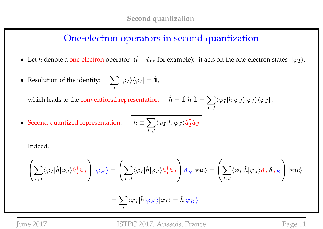## One-electron operators in second quantization

- Let  $\hat{h}$  denote a one-electron operator  $(\hat{t} + \hat{v}_{ne}$  for example): it acts on the one-electron states  $|\varphi_I\rangle$ .
- Resolution of the identity:  $\sum$ I  $|\varphi_I\rangle\langle\varphi_I|=\hat{\mathbb{1}},$

which leads to the conventional representation  $\hat{h} = \hat{1} \hat{h} \hat{1} = \sum_{\hat{h} = h} \hat{h} \hat{h}$ 

 $I,J$  $\langle \varphi_I|\hat h|\varphi_J\rangle|\varphi_I\rangle\langle \varphi_J|$  .

• Second-quantized representation: 
$$
\hat{h} \equiv
$$

$$
\left\lceil \hat{h} \equiv \sum_{I,J} \langle \varphi_I | \hat{h} | \varphi_J \rangle \hat{a}^\dagger_I \hat{a}_J \right\rceil
$$

Indeed,

$$
\left(\sum_{I,J}\langle \varphi_I|\hat{h}|\varphi_J\rangle\hat{a}_I^\dagger\hat{a}_J\right)|\varphi_K\rangle=\left(\sum_{I,J}\langle \varphi_I|\hat{h}|\varphi_J\rangle\hat{a}_I^\dagger\hat{a}_J\right)\hat{a}_K^\dagger|{\rm vac}\rangle=\left(\sum_{I,J}\langle \varphi_I|\hat{h}|\varphi_J\rangle\hat{a}_I^\dagger\,\delta_{JK}\right)|{\rm vac}\rangle
$$

$$
=\sum_I \langle \varphi_I|\hat{h}|\varphi_K\rangle|\varphi_I\rangle=\hat{h}|\varphi_K\rangle
$$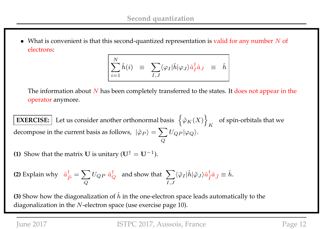• What is convenient is that this second-quantized representation is valid for any number  $N$  of electrons:

$$
\sum_{i=1}^N \hat{h}(i) \quad \equiv \quad \sum_{I,J} \langle \varphi_I | \hat{h} | \varphi_J \rangle \hat{a}_I^{\dagger} \hat{a}_J \quad \equiv \quad \hat{h}
$$

The information about  $N$  has been completely transferred to the states. It does not appear in the operator anymore.

**EXERCISE:** Let us consider another orthonormal basis  $\{\varphi_K(X)\}\$ K of spin-orbitals that we decompose in the current basis as follows,  $\ket{\tilde{\varphi}_P}=\sum \limits_{i=1}^N\ket{\tilde{\varphi}_P}$  $\pmb Q$  $U_{QP}|\varphi_Q\rangle.$ 

**(1)** Show that the matrix **U** is unitary  $(\mathbf{U}^{\dagger} = \mathbf{U}^{-1})$ .

(2) Explain why 
$$
\hat{a}_{\tilde{P}}^{\dagger} = \sum_{Q} U_{QP} \hat{a}_{Q}^{\dagger}
$$
 and show that  $\sum_{I,J} \langle \tilde{\varphi}_I | \hat{h} | \tilde{\varphi}_J \rangle \hat{a}_{\tilde{I}}^{\dagger} \hat{a}_{\tilde{J}} \equiv \hat{h}$ .

**(3)** Show how the diagonalization of  $\hat{h}$  in the one-electron space leads automatically to the diagonalization in the  $N$ -electron space (use exercise page 10).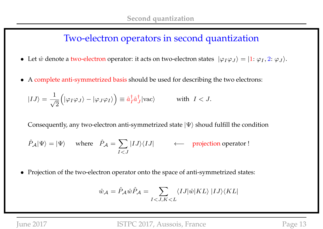### Two-electron operators in second quantization

- Let  $\hat{w}$  denote a two-electron operator: it acts on two-electron states  $|\varphi_I\varphi_J\rangle = |1: \varphi_I, 2: \varphi_J\rangle$ .
- A complete anti-symmetrized basis should be used for describing the two electrons:

$$
|IJ\rangle = \frac{1}{\sqrt{2}} \left( |\varphi_I \varphi_J \rangle - |\varphi_J \varphi_I \rangle \right) \equiv \hat{a}_I^{\dagger} \hat{a}_J^{\dagger} |\text{vac}\rangle \quad \text{with } I < J.
$$

Consequently, any two-electron anti-symmetrized state  $|\Psi\rangle$  shoud fulfill the condition

$$
\hat{P}_{\mathcal{A}}|\Psi\rangle = |\Psi\rangle
$$
 where  $\hat{P}_{\mathcal{A}} = \sum_{I < J} |IJ\rangle\langle IJ|$  \n $\leftarrow$  projection operator!

• Projection of the two-electron operator onto the space of anti-symmetrized states:

$$
\hat{w}_{\mathcal{A}} = \hat{P}_{\mathcal{A}} \hat{w} \hat{P}_{\mathcal{A}} = \sum_{I < J, K < L} \langle I J | \hat{w} | K L \rangle | I J \rangle \langle K L |
$$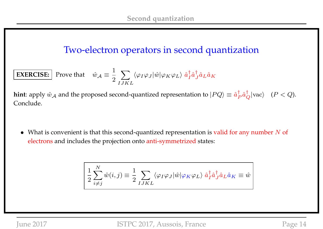## Two-electron operators in second quantization

**EXERCISE:** Prove that 
$$
\hat{w}_{A} \equiv \frac{1}{2} \sum_{IJKL} \langle \varphi_I \varphi_J | \hat{w} | \varphi_K \varphi_L \rangle \hat{a}_I^{\dagger} \hat{a}_L^{\dagger} \hat{a}_L \hat{a}_K
$$

**hint**: apply  $\hat{w}_\mathcal{A}$  and the proposed second-quantized representation to  $|PQ\rangle\equiv \hat{a}^\dagger_R$  $_P^{\dagger} \hat{a}_Q^{\dagger} |\text{vac}\rangle$   $(P < Q)$ . Conclude.

• What is convenient is that this second-quantized representation is valid for any number  $N$  of electrons and includes the projection onto anti-symmetrized states:

$$
\left| \frac{1}{2} \sum_{i \neq j}^{N} \hat{w}(i, j) \right| = \frac{1}{2} \sum_{I J K L} \langle \varphi_I \varphi_J | \hat{w} | \varphi_K \varphi_L \rangle \hat{a}_I^{\dagger} \hat{a}_J^{\dagger} \hat{a}_L \hat{a}_K \equiv \hat{w} \right|
$$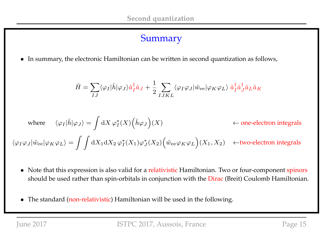### Summary

• In summary, the electronic Hamiltonian can be written in second quantization as follows,

$$
\hat{H} = \sum_{IJ} \langle \varphi_I | \hat{h} | \varphi_J \rangle \hat{a}_I^{\dagger} \hat{a}_J + \frac{1}{2} \sum_{IJKL} \langle \varphi_I \varphi_J | \hat{w}_{\text{ee}} | \varphi_K \varphi_L \rangle \hat{a}_I^{\dagger} \hat{a}_J^{\dagger} \hat{a}_L \hat{a}_K
$$

where 
$$
\langle \varphi_I | \hat{h} | \varphi_J \rangle = \int dX \varphi_I^*(X) (\hat{h} \varphi_J)(X)
$$
  $\leftarrow$  one-electron integrals  
 $\langle \varphi_I \varphi_J | \hat{w}_{ee} | \varphi_K \varphi_L \rangle = \int \int dX_1 dX_2 \varphi_I^*(X_1) \varphi_J^*(X_2) (\hat{w}_{ee} \varphi_K \varphi_L)(X_1, X_2) \leftarrow$ two-electron integrals

- Note that this expression is also valid for a relativistic Hamiltonian. Two or four-component spinors should be used rather than spin-orbitals in conjunction with the Dirac (Breit) Coulomb Hamiltonian.
- The standard (non-relativistic) Hamiltonian will be used in the following.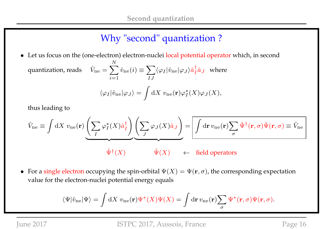# Why "second" quantization ?

• Let us focus on the (one-electron) electron-nuclei local potential operator which, in second quantization, reads  $\sum$ N  $i=1$  $\hat{v}_\mathrm{ne}(i) \equiv \sum$ IJ  $\langle \varphi_I|\hat{v}_\text{ne}|\varphi_J\rangle \hat{a}^\dagger_I$  $i \hat{a}$ <sub>J</sub> where  $\langle \varphi_I|\hat{v}_\text{ne}|\varphi_J\rangle =$  $\overline{\phantom{a}}$  $\mathrm{d}X\;v_{\mathrm{ne}}(\mathbf{r})\varphi_{I}^{\ast}% =\operatorname{div}(\mathbf{r})\varphi_{I}^{\ast}+\operatorname{div}(\mathbf{r})\varphi_{I}^{\ast}+\operatorname{div}(\mathbf{r})\varphi_{I}^{\ast}%$  $^*_I(X)\varphi_J(X),$ 

thus leading to

$$
\hat{V}_{\text{ne}} \equiv \int dX \ v_{\text{ne}}(\mathbf{r}) \underbrace{\left(\sum_{I} \varphi_{I}^{*}(X)\hat{a}_{I}^{\dagger}\right)}_{\hat{\Psi}^{\dagger}(X)} \underbrace{\left(\sum_{J} \varphi_{J}(X)\hat{a}_{J}\right)}_{\hat{\Psi}} = \underbrace{\boxed{\int d\mathbf{r} \ v_{\text{ne}}(\mathbf{r}) \sum_{\sigma} \hat{\Psi}^{\dagger}(\mathbf{r},\sigma) \hat{\Psi}(\mathbf{r},\sigma)}_{\sigma} \equiv \hat{V}_{\text{ne}}}
$$

• For a single electron occupying the spin-orbital  $\Psi(X) = \Psi(\mathbf{r}, \sigma)$ , the corresponding expectation value for the electron-nuclei potential energy equals

$$
\langle\Psi|\hat{v}_{\rm ne}|\Psi\rangle = \int \mathrm{d}X \ v_{\rm ne}(\mathbf{r})\Psi^*(X)\Psi(X) = \int \mathrm{d}\mathbf{r} \, v_{\rm ne}(\mathbf{r})\sum_{\sigma} \Psi^*(\mathbf{r},\sigma)\Psi(\mathbf{r},\sigma).
$$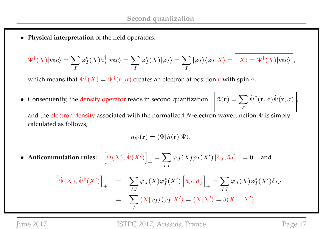• **Physical interpretation** of the field operators:

$$
\hat{\Psi}^{\dagger}(X)|\text{vac}\rangle = \sum_{I} \varphi_{I}^{*}(X)\hat{a}_{I}^{\dagger}|\text{vac}\rangle = \sum_{I} \varphi_{I}^{*}(X)|\varphi_{I}\rangle = \sum_{I} |\varphi_{I}\rangle\langle\varphi_{I}|X\rangle = \left| \frac{|X\rangle = \hat{\Psi}^{\dagger}(X)|\text{vac}\rangle}{|X\rangle \rangle},
$$

which means that  $\hat{\Psi}^{\dagger}(X)=\hat{\Psi}^{\dagger}(\mathbf{r},\sigma)$  creates an electron at position  $\mathbf r$  with spin  $\sigma.$ 

• Consequently, the density operator reads in second quantization

$$
\hat{n}(\mathbf{r}) = \sum_{\sigma} \hat{\Psi}^{\dagger}(\mathbf{r}, \sigma) \hat{\Psi}(\mathbf{r}, \sigma) \Big|_{\!\!\! r}
$$

and the electron density associated with the normalized N-electron wavefunction  $\Psi$  is simply calculated as follows,

$$
n_{\Psi}(\mathbf{r}) = \langle \Psi | \hat{n}(\mathbf{r}) | \Psi \rangle.
$$

• Anticommutation rules:  $\hat{\Psi}(X), \hat{\Psi}(X')\Bigr]$  $+$  $=$   $\sum$ IJ  $\varphi_J(X)\varphi_I(X')\left[\hat a_J,\hat a_I\right]_+$ and

$$
\left[\hat{\Psi}(X),\hat{\Psi}^{\dagger}(X')\right]_{+} = \sum_{IJ} \varphi_{J}(X)\varphi_{I}^{*}(X')\left[\hat{a}_{J},\hat{a}_{I}^{\dagger}\right]_{+} = \sum_{IJ} \varphi_{J}(X)\varphi_{I}^{*}(X')\delta_{IJ}
$$

$$
= \sum_{I} \langle X|\varphi_{I}\rangle\langle\varphi_{I}|X'\rangle = \langle X|X'\rangle = \delta(X-X').
$$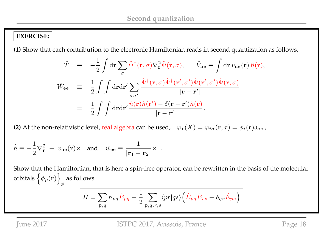#### **EXERCISE:**

**(1)** Show that each contribution to the electronic Hamiltonian reads in second quantization as follows,

$$
\hat{T} = -\frac{1}{2} \int d\mathbf{r} \sum_{\sigma} \hat{\Psi}^{\dagger}(\mathbf{r}, \sigma) \nabla_{\mathbf{r}}^{2} \hat{\Psi}(\mathbf{r}, \sigma), \qquad \hat{V}_{\text{ne}} \equiv \int d\mathbf{r} \, v_{\text{ne}}(\mathbf{r}) \hat{n}(\mathbf{r}),
$$
\n
$$
\hat{W}_{\text{ee}} \equiv \frac{1}{2} \int \int d\mathbf{r} d\mathbf{r}' \sum_{\sigma \sigma'} \frac{\hat{\Psi}^{\dagger}(\mathbf{r}, \sigma) \hat{\Psi}^{\dagger}(\mathbf{r}', \sigma') \hat{\Psi}(\mathbf{r}', \sigma') \hat{\Psi}(\mathbf{r}, \sigma)}{|\mathbf{r} - \mathbf{r}'|}
$$
\n
$$
= \frac{1}{2} \int \int d\mathbf{r} d\mathbf{r}' \frac{\hat{n}(\mathbf{r}) \hat{n}(\mathbf{r}') - \delta(\mathbf{r} - \mathbf{r}') \hat{n}(\mathbf{r})}{|\mathbf{r} - \mathbf{r}'|}.
$$

**(2)** At the non-relativistic level, real algebra can be used,  $\varphi_I(X) = \varphi_{i\sigma}(\mathbf{r},\tau) = \phi_i(\mathbf{r})\delta_{\sigma\tau}$ ,

$$
\hat{h} \equiv -\frac{1}{2}\nabla_{\mathbf{r}}^2 + v_{\text{ne}}(\mathbf{r}) \times \text{ and } \hat{w}_{\text{ee}} \equiv \frac{1}{|\mathbf{r}_1 - \mathbf{r}_2|} \times \; .
$$

Show that the Hamiltonian, that is here a spin-free operator, can be rewritten in the basis of the molecular orbitals  $\left\{ \phi_p(\mathbf{r}) \right\}$ p as follows

$$
\hat{H} = \sum_{p,q} h_{pq} \hat{E}_{pq} + \frac{1}{2} \sum_{p,q,r,s} \langle pr | qs \rangle \left( \hat{E}_{pq} \hat{E}_{rs} - \delta_{qr} \hat{E}_{ps} \right)
$$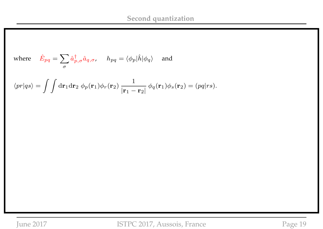where 
$$
\hat{E}_{pq} = \sum_{\sigma} \hat{a}^{\dagger}_{p,\sigma} \hat{a}_{q,\sigma}
$$
,  $h_{pq} = \langle \phi_p | \hat{h} | \phi_q \rangle$  and  

$$
\langle pr | qs \rangle = \int \int d\mathbf{r}_1 d\mathbf{r}_2 \; \phi_p(\mathbf{r}_1) \phi_r(\mathbf{r}_2) \; \frac{1}{|\mathbf{r}_1 - \mathbf{r}_2|} \; \phi_q(\mathbf{r}_1) \phi_s(\mathbf{r}_2) = (pq | rs).
$$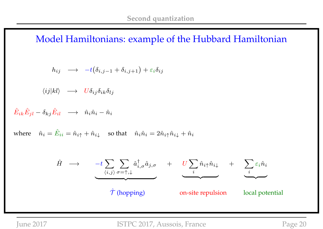Model Hamiltonians: example of the Hubbard Hamiltonian

$$
h_{ij} \quad \longrightarrow \quad -t\big(\delta_{i,j-1} + \delta_{i,j+1}\big) + \varepsilon_i \delta_{ij}
$$

 $\langle ij|kl\rangle \rightarrow U\delta_{ij}\delta_{ik}\delta_{lj}$ 

 $\hat{E}_{ik}\hat{E}_{jl}-\delta_{kj}\hat{E}_{il}\quad\longrightarrow\quad\hat{n}_{i}\hat{n}_{i}-\hat{n}_{i}$ 

where  $\hat{n}_i = \hat{E}_{ii} = \hat{n}_{i\uparrow} + \hat{n}_{i\downarrow}$  so that  $\hat{n}_i \hat{n}_i = 2\hat{n}_{i\uparrow} \hat{n}_{i\downarrow} + \hat{n}_i$ 

$$
\hat{H} \longrightarrow -t \sum_{\langle i,j \rangle} \sum_{\sigma=\uparrow,\downarrow} \hat{a}_{i,\sigma}^{\dagger} \hat{a}_{j,\sigma} + U \sum_{i} \hat{n}_{i\uparrow} \hat{n}_{i\downarrow} + \sum_{i} \varepsilon_{i} \hat{n}_{i}
$$
\n
$$
\hat{\mathcal{T}} \text{ (hopping)} \qquad \text{on-site repulsion} \qquad \text{local potential}
$$